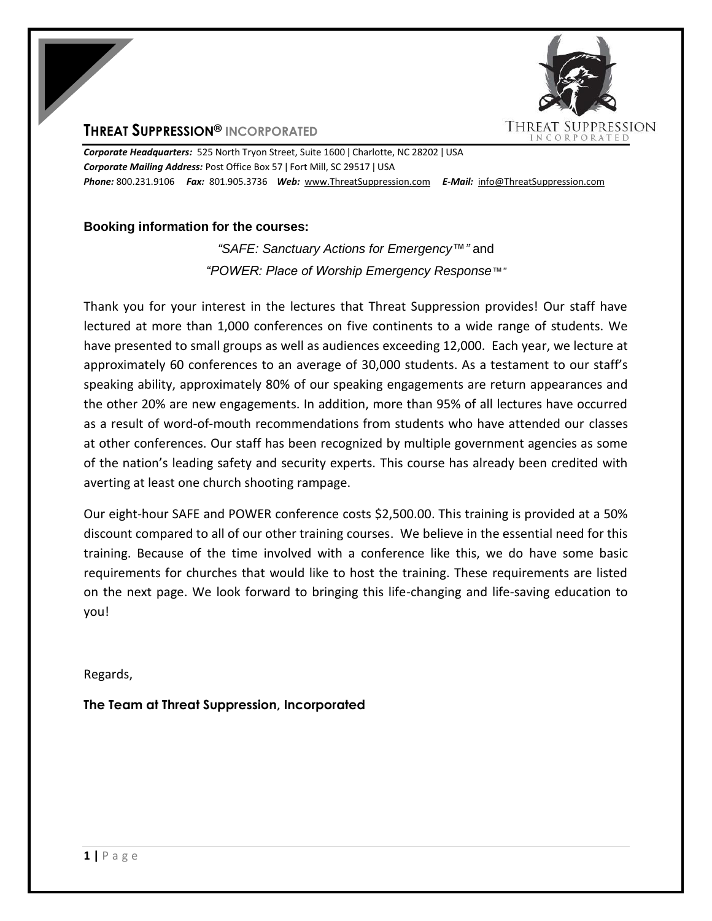



*Corporate Headquarters:* 525 North Tryon Street, Suite 1600 ǀ Charlotte, NC 28202 ǀ USA *Corporate Mailing Address:* Post Office Box 57 ǀ Fort Mill, SC 29517 ǀ USA *Phone:* 800.231.9106 *Fax:* 801.905.3736 *Web:* www.ThreatSuppression.com *E-Mail:* info@ThreatSuppression.com

## **Booking information for the courses:**

*"SAFE: Sanctuary Actions for Emergency™"* and *"POWER: Place of Worship Emergency Response™"*

Thank you for your interest in the lectures that Threat Suppression provides! Our staff have lectured at more than 1,000 conferences on five continents to a wide range of students. We have presented to small groups as well as audiences exceeding 12,000. Each year, we lecture at approximately 60 conferences to an average of 30,000 students. As a testament to our staff's speaking ability, approximately 80% of our speaking engagements are return appearances and the other 20% are new engagements. In addition, more than 95% of all lectures have occurred as a result of word-of-mouth recommendations from students who have attended our classes at other conferences. Our staff has been recognized by multiple government agencies as some of the nation's leading safety and security experts. This course has already been credited with averting at least one church shooting rampage.

Our eight-hour SAFE and POWER conference costs \$2,500.00. This training is provided at a 50% discount compared to all of our other training courses. We believe in the essential need for this training. Because of the time involved with a conference like this, we do have some basic requirements for churches that would like to host the training. These requirements are listed on the next page. We look forward to bringing this life-changing and life-saving education to you!

Regards,

**The Team at Threat Suppression, Incorporated**